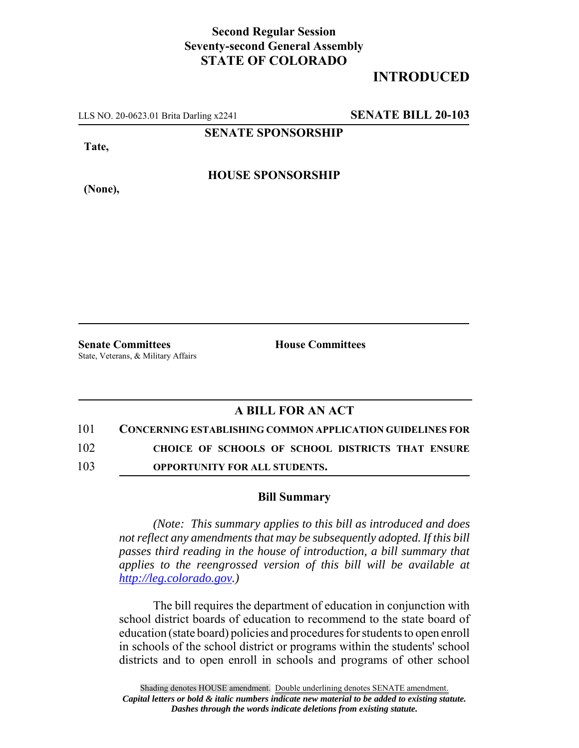## **Second Regular Session Seventy-second General Assembly STATE OF COLORADO**

## **INTRODUCED**

LLS NO. 20-0623.01 Brita Darling x2241 **SENATE BILL 20-103**

**SENATE SPONSORSHIP**

**Tate,**

**HOUSE SPONSORSHIP**

**(None),**

**Senate Committees House Committees** State, Veterans, & Military Affairs

## **A BILL FOR AN ACT**

101 **CONCERNING ESTABLISHING COMMON APPLICATION GUIDELINES FOR**

102 **CHOICE OF SCHOOLS OF SCHOOL DISTRICTS THAT ENSURE**

103 **OPPORTUNITY FOR ALL STUDENTS.**

## **Bill Summary**

*(Note: This summary applies to this bill as introduced and does not reflect any amendments that may be subsequently adopted. If this bill passes third reading in the house of introduction, a bill summary that applies to the reengrossed version of this bill will be available at http://leg.colorado.gov.)*

The bill requires the department of education in conjunction with school district boards of education to recommend to the state board of education (state board) policies and procedures for students to open enroll in schools of the school district or programs within the students' school districts and to open enroll in schools and programs of other school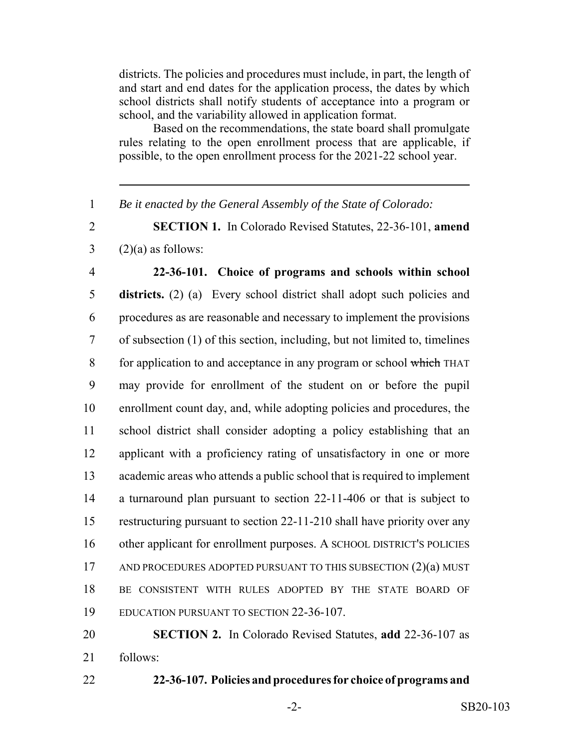districts. The policies and procedures must include, in part, the length of and start and end dates for the application process, the dates by which school districts shall notify students of acceptance into a program or school, and the variability allowed in application format.

Based on the recommendations, the state board shall promulgate rules relating to the open enrollment process that are applicable, if possible, to the open enrollment process for the 2021-22 school year.

*Be it enacted by the General Assembly of the State of Colorado:*

 **SECTION 1.** In Colorado Revised Statutes, 22-36-101, **amend**  $3 \qquad (2)(a)$  as follows:

 **22-36-101. Choice of programs and schools within school districts.** (2) (a) Every school district shall adopt such policies and procedures as are reasonable and necessary to implement the provisions of subsection (1) of this section, including, but not limited to, timelines 8 for application to and acceptance in any program or school which THAT may provide for enrollment of the student on or before the pupil enrollment count day, and, while adopting policies and procedures, the school district shall consider adopting a policy establishing that an applicant with a proficiency rating of unsatisfactory in one or more academic areas who attends a public school that is required to implement a turnaround plan pursuant to section 22-11-406 or that is subject to restructuring pursuant to section 22-11-210 shall have priority over any other applicant for enrollment purposes. A SCHOOL DISTRICT'S POLICIES 17 AND PROCEDURES ADOPTED PURSUANT TO THIS SUBSECTION (2)(a) MUST BE CONSISTENT WITH RULES ADOPTED BY THE STATE BOARD OF EDUCATION PURSUANT TO SECTION 22-36-107.

 **SECTION 2.** In Colorado Revised Statutes, **add** 22-36-107 as follows:

**22-36-107. Policies and procedures for choice of programs and**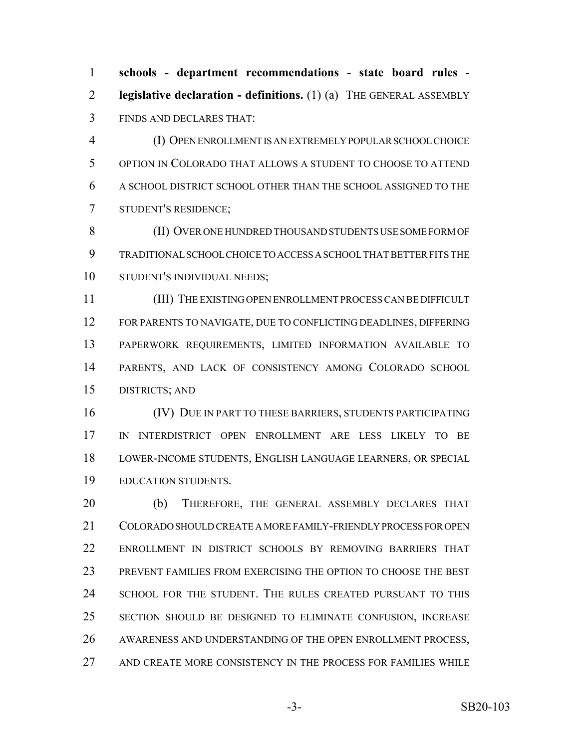**schools - department recommendations - state board rules - legislative declaration - definitions.** (1) (a) THE GENERAL ASSEMBLY FINDS AND DECLARES THAT:

 (I) OPEN ENROLLMENT IS AN EXTREMELY POPULAR SCHOOL CHOICE OPTION IN COLORADO THAT ALLOWS A STUDENT TO CHOOSE TO ATTEND A SCHOOL DISTRICT SCHOOL OTHER THAN THE SCHOOL ASSIGNED TO THE STUDENT'S RESIDENCE;

 (II) OVER ONE HUNDRED THOUSAND STUDENTS USE SOME FORM OF TRADITIONAL SCHOOL CHOICE TO ACCESS A SCHOOL THAT BETTER FITS THE STUDENT'S INDIVIDUAL NEEDS;

 (III) THE EXISTING OPEN ENROLLMENT PROCESS CAN BE DIFFICULT FOR PARENTS TO NAVIGATE, DUE TO CONFLICTING DEADLINES, DIFFERING PAPERWORK REQUIREMENTS, LIMITED INFORMATION AVAILABLE TO PARENTS, AND LACK OF CONSISTENCY AMONG COLORADO SCHOOL DISTRICTS; AND

 (IV) DUE IN PART TO THESE BARRIERS, STUDENTS PARTICIPATING IN INTERDISTRICT OPEN ENROLLMENT ARE LESS LIKELY TO BE LOWER-INCOME STUDENTS, ENGLISH LANGUAGE LEARNERS, OR SPECIAL EDUCATION STUDENTS.

 (b) THEREFORE, THE GENERAL ASSEMBLY DECLARES THAT COLORADO SHOULD CREATE A MORE FAMILY-FRIENDLY PROCESS FOR OPEN ENROLLMENT IN DISTRICT SCHOOLS BY REMOVING BARRIERS THAT PREVENT FAMILIES FROM EXERCISING THE OPTION TO CHOOSE THE BEST SCHOOL FOR THE STUDENT. THE RULES CREATED PURSUANT TO THIS SECTION SHOULD BE DESIGNED TO ELIMINATE CONFUSION, INCREASE 26 AWARENESS AND UNDERSTANDING OF THE OPEN ENROLLMENT PROCESS, AND CREATE MORE CONSISTENCY IN THE PROCESS FOR FAMILIES WHILE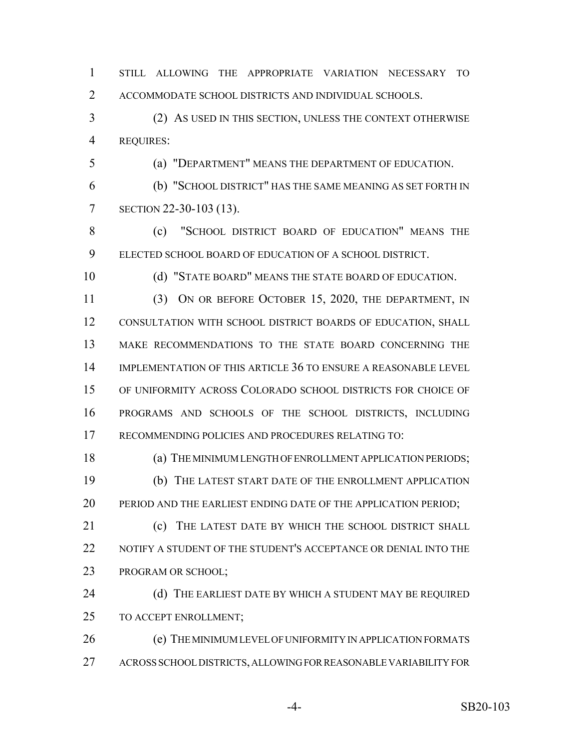STILL ALLOWING THE APPROPRIATE VARIATION NECESSARY TO ACCOMMODATE SCHOOL DISTRICTS AND INDIVIDUAL SCHOOLS.

 (2) AS USED IN THIS SECTION, UNLESS THE CONTEXT OTHERWISE REQUIRES:

(a) "DEPARTMENT" MEANS THE DEPARTMENT OF EDUCATION.

 (b) "SCHOOL DISTRICT" HAS THE SAME MEANING AS SET FORTH IN SECTION 22-30-103 (13).

 (c) "SCHOOL DISTRICT BOARD OF EDUCATION" MEANS THE ELECTED SCHOOL BOARD OF EDUCATION OF A SCHOOL DISTRICT.

10 (d) "STATE BOARD" MEANS THE STATE BOARD OF EDUCATION.

 (3) ON OR BEFORE OCTOBER 15, 2020, THE DEPARTMENT, IN CONSULTATION WITH SCHOOL DISTRICT BOARDS OF EDUCATION, SHALL MAKE RECOMMENDATIONS TO THE STATE BOARD CONCERNING THE IMPLEMENTATION OF THIS ARTICLE 36 TO ENSURE A REASONABLE LEVEL OF UNIFORMITY ACROSS COLORADO SCHOOL DISTRICTS FOR CHOICE OF PROGRAMS AND SCHOOLS OF THE SCHOOL DISTRICTS, INCLUDING RECOMMENDING POLICIES AND PROCEDURES RELATING TO:

 (a) THE MINIMUM LENGTH OF ENROLLMENT APPLICATION PERIODS; (b) THE LATEST START DATE OF THE ENROLLMENT APPLICATION PERIOD AND THE EARLIEST ENDING DATE OF THE APPLICATION PERIOD;

**(c)** THE LATEST DATE BY WHICH THE SCHOOL DISTRICT SHALL NOTIFY A STUDENT OF THE STUDENT'S ACCEPTANCE OR DENIAL INTO THE PROGRAM OR SCHOOL;

24 (d) THE EARLIEST DATE BY WHICH A STUDENT MAY BE REQUIRED TO ACCEPT ENROLLMENT;

26 (e) THE MINIMUM LEVEL OF UNIFORMITY IN APPLICATION FORMATS ACROSS SCHOOL DISTRICTS, ALLOWING FOR REASONABLE VARIABILITY FOR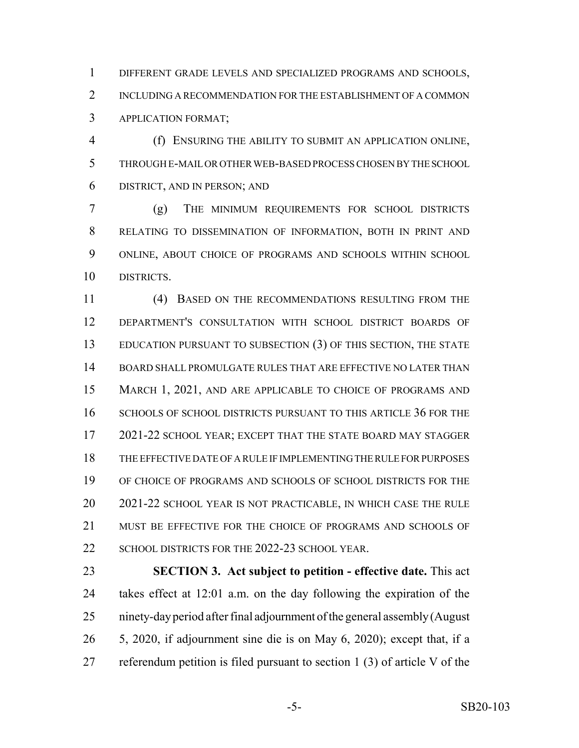DIFFERENT GRADE LEVELS AND SPECIALIZED PROGRAMS AND SCHOOLS, INCLUDING A RECOMMENDATION FOR THE ESTABLISHMENT OF A COMMON APPLICATION FORMAT;

 (f) ENSURING THE ABILITY TO SUBMIT AN APPLICATION ONLINE, THROUGH E-MAIL OR OTHER WEB-BASED PROCESS CHOSEN BY THE SCHOOL DISTRICT, AND IN PERSON; AND

 (g) THE MINIMUM REQUIREMENTS FOR SCHOOL DISTRICTS RELATING TO DISSEMINATION OF INFORMATION, BOTH IN PRINT AND ONLINE, ABOUT CHOICE OF PROGRAMS AND SCHOOLS WITHIN SCHOOL DISTRICTS.

 (4) BASED ON THE RECOMMENDATIONS RESULTING FROM THE DEPARTMENT'S CONSULTATION WITH SCHOOL DISTRICT BOARDS OF EDUCATION PURSUANT TO SUBSECTION (3) OF THIS SECTION, THE STATE BOARD SHALL PROMULGATE RULES THAT ARE EFFECTIVE NO LATER THAN MARCH 1, 2021, AND ARE APPLICABLE TO CHOICE OF PROGRAMS AND 16 SCHOOLS OF SCHOOL DISTRICTS PURSUANT TO THIS ARTICLE 36 FOR THE 2021-22 SCHOOL YEAR; EXCEPT THAT THE STATE BOARD MAY STAGGER THE EFFECTIVE DATE OF A RULE IF IMPLEMENTING THE RULE FOR PURPOSES OF CHOICE OF PROGRAMS AND SCHOOLS OF SCHOOL DISTRICTS FOR THE 2021-22 SCHOOL YEAR IS NOT PRACTICABLE, IN WHICH CASE THE RULE 21 MUST BE EFFECTIVE FOR THE CHOICE OF PROGRAMS AND SCHOOLS OF 22 SCHOOL DISTRICTS FOR THE 2022-23 SCHOOL YEAR.

 **SECTION 3. Act subject to petition - effective date.** This act takes effect at 12:01 a.m. on the day following the expiration of the ninety-day period after final adjournment of the general assembly (August 5, 2020, if adjournment sine die is on May 6, 2020); except that, if a referendum petition is filed pursuant to section 1 (3) of article V of the